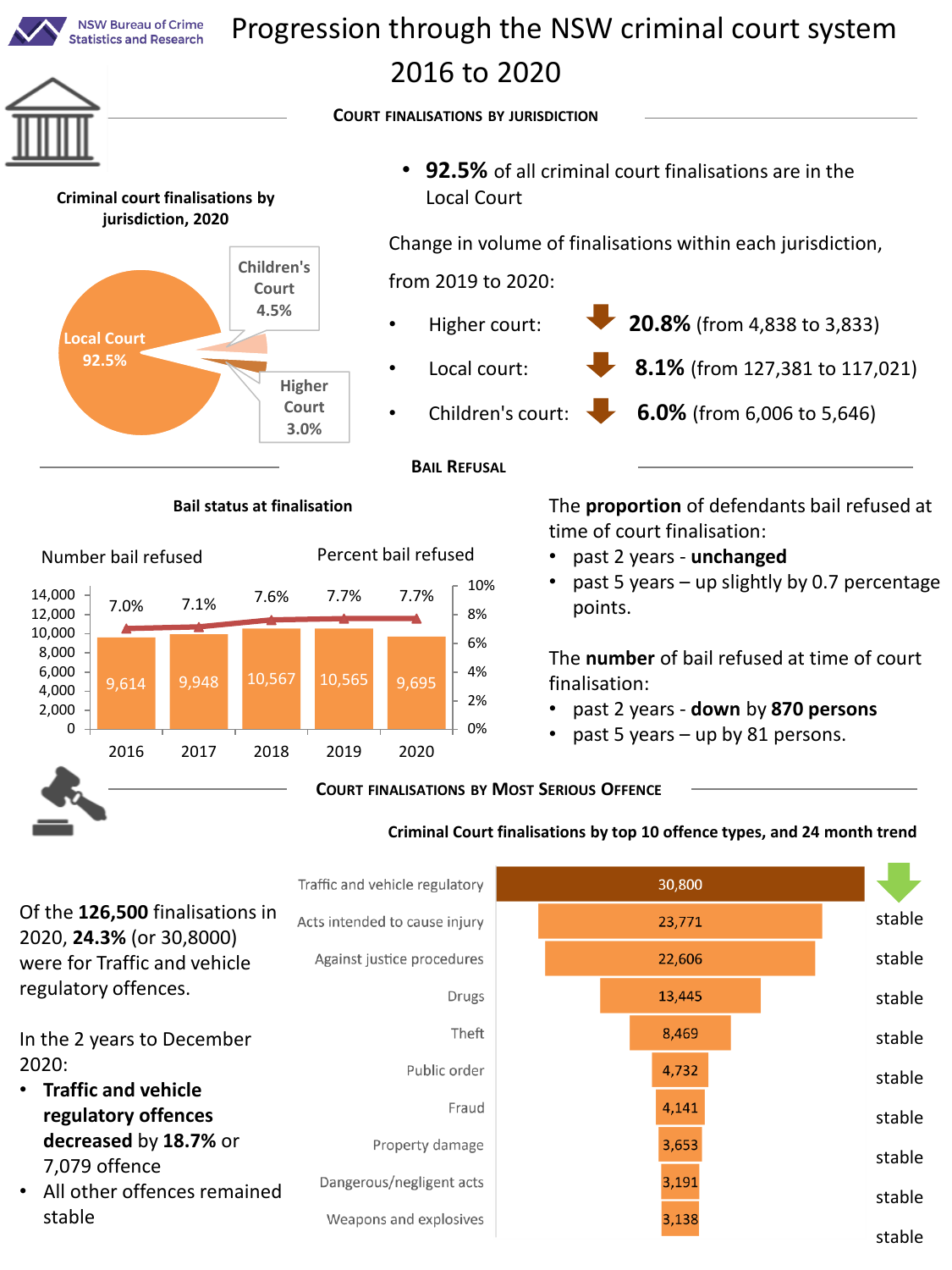

2020, **24.3%** (or 30,8000) were for Traffic and vehicle regulatory offences.

In the 2 years to December 2020:

- **Traffic and vehicle regulatory offences decreased** by **18.7%** or 7,079 offence
- All other offences remained stable

Against justice procedures Drugs Theft Public order Fraud Property damage Dangerous/negligent acts

Weapons and explosives